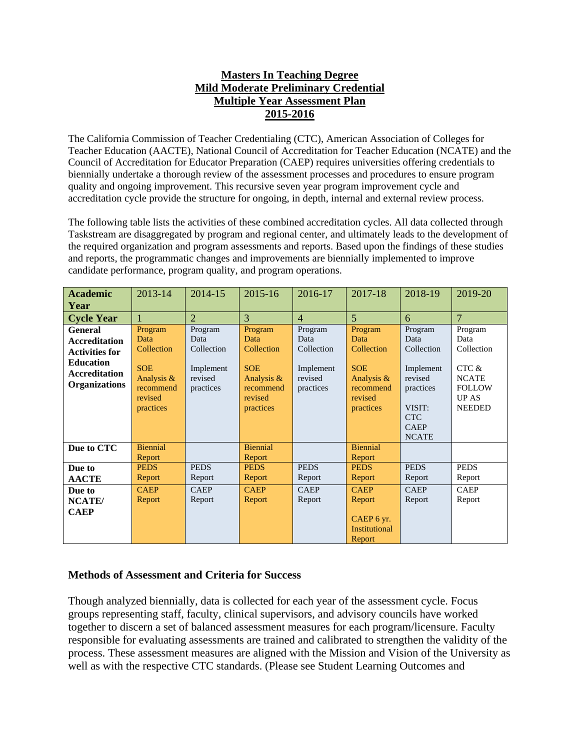## **Masters In Teaching Degree Mild Moderate Preliminary Credential Multiple Year Assessment Plan 2015-2016**

The California Commission of Teacher Credentialing (CTC), American Association of Colleges for Teacher Education (AACTE), National Council of Accreditation for Teacher Education (NCATE) and the Council of Accreditation for Educator Preparation (CAEP) requires universities offering credentials to biennially undertake a thorough review of the assessment processes and procedures to ensure program quality and ongoing improvement. This recursive seven year program improvement cycle and accreditation cycle provide the structure for ongoing, in depth, internal and external review process.

The following table lists the activities of these combined accreditation cycles. All data collected through Taskstream are disaggregated by program and regional center, and ultimately leads to the development of the required organization and program assessments and reports. Based upon the findings of these studies and reports, the programmatic changes and improvements are biennially implemented to improve candidate performance, program quality, and program operations.

| <b>Academic</b>                                                                                                                     | 2013-14                                                                                        | 2014-15                                                            | 2015-16                                                                                        | 2016-17                                                            | 2017-18                                                                                        | 2018-19                                                                                                                   | 2019-20                                                                                                  |
|-------------------------------------------------------------------------------------------------------------------------------------|------------------------------------------------------------------------------------------------|--------------------------------------------------------------------|------------------------------------------------------------------------------------------------|--------------------------------------------------------------------|------------------------------------------------------------------------------------------------|---------------------------------------------------------------------------------------------------------------------------|----------------------------------------------------------------------------------------------------------|
| Year                                                                                                                                |                                                                                                |                                                                    |                                                                                                |                                                                    |                                                                                                |                                                                                                                           |                                                                                                          |
| <b>Cycle Year</b>                                                                                                                   |                                                                                                | $\overline{2}$                                                     | 3                                                                                              | $\overline{4}$                                                     | $\overline{5}$                                                                                 | 6                                                                                                                         | $\overline{7}$                                                                                           |
| <b>General</b><br><b>Accreditation</b><br><b>Activities for</b><br><b>Education</b><br><b>Accreditation</b><br><b>Organizations</b> | Program<br>Data<br>Collection<br><b>SOE</b><br>Analysis &<br>recommend<br>revised<br>practices | Program<br>Data<br>Collection<br>Implement<br>revised<br>practices | Program<br>Data<br>Collection<br><b>SOE</b><br>Analysis &<br>recommend<br>revised<br>practices | Program<br>Data<br>Collection<br>Implement<br>revised<br>practices | Program<br>Data<br>Collection<br><b>SOE</b><br>Analysis &<br>recommend<br>revised<br>practices | Program<br>Data<br>Collection<br>Implement<br>revised<br>practices<br>VISIT:<br><b>CTC</b><br><b>CAEP</b><br><b>NCATE</b> | Program<br>Data<br>Collection<br>CTC &<br><b>NCATE</b><br><b>FOLLOW</b><br><b>UP AS</b><br><b>NEEDED</b> |
| Due to CTC                                                                                                                          | <b>Biennial</b><br>Report                                                                      |                                                                    | <b>Biennial</b><br>Report                                                                      |                                                                    | <b>Biennial</b><br>Report                                                                      |                                                                                                                           |                                                                                                          |
| Due to                                                                                                                              | <b>PEDS</b>                                                                                    | <b>PEDS</b>                                                        | <b>PEDS</b>                                                                                    | <b>PEDS</b>                                                        | <b>PEDS</b>                                                                                    | <b>PEDS</b>                                                                                                               | <b>PEDS</b>                                                                                              |
| <b>AACTE</b>                                                                                                                        | Report                                                                                         | Report                                                             | Report                                                                                         | Report                                                             | Report                                                                                         | Report                                                                                                                    | Report                                                                                                   |
| Due to                                                                                                                              | <b>CAEP</b>                                                                                    | <b>CAEP</b>                                                        | <b>CAEP</b>                                                                                    | <b>CAEP</b>                                                        | <b>CAEP</b>                                                                                    | <b>CAEP</b>                                                                                                               | <b>CAEP</b>                                                                                              |
| NCATE/                                                                                                                              | Report                                                                                         | Report                                                             | Report                                                                                         | Report                                                             | Report                                                                                         | Report                                                                                                                    | Report                                                                                                   |
| <b>CAEP</b>                                                                                                                         |                                                                                                |                                                                    |                                                                                                |                                                                    | CAEP 6 yr.<br><b>Institutional</b><br>Report                                                   |                                                                                                                           |                                                                                                          |

## **Methods of Assessment and Criteria for Success**

Though analyzed biennially, data is collected for each year of the assessment cycle. Focus groups representing staff, faculty, clinical supervisors, and advisory councils have worked together to discern a set of balanced assessment measures for each program/licensure. Faculty responsible for evaluating assessments are trained and calibrated to strengthen the validity of the process. These assessment measures are aligned with the Mission and Vision of the University as well as with the respective CTC standards. (Please see Student Learning Outcomes and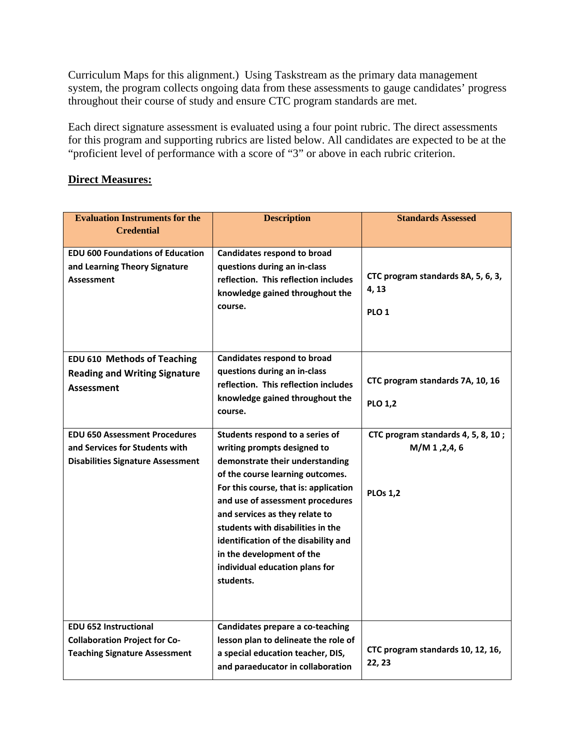Curriculum Maps for this alignment.) Using Taskstream as the primary data management system, the program collects ongoing data from these assessments to gauge candidates' progress throughout their course of study and ensure CTC program standards are met.

Each direct signature assessment is evaluated using a four point rubric. The direct assessments for this program and supporting rubrics are listed below. All candidates are expected to be at the "proficient level of performance with a score of "3" or above in each rubric criterion.

## **Direct Measures:**

| <b>Evaluation Instruments for the</b><br><b>Credential</b>                                                         | <b>Description</b>                                                                                                                                                                                                                                                                                                                                                                                            | <b>Standards Assessed</b>                                               |
|--------------------------------------------------------------------------------------------------------------------|---------------------------------------------------------------------------------------------------------------------------------------------------------------------------------------------------------------------------------------------------------------------------------------------------------------------------------------------------------------------------------------------------------------|-------------------------------------------------------------------------|
| <b>EDU 600 Foundations of Education</b><br>and Learning Theory Signature<br><b>Assessment</b>                      | <b>Candidates respond to broad</b><br>questions during an in-class<br>reflection. This reflection includes<br>knowledge gained throughout the<br>course.                                                                                                                                                                                                                                                      | CTC program standards 8A, 5, 6, 3,<br>4, 13<br>PLO <sub>1</sub>         |
| <b>EDU 610 Methods of Teaching</b><br><b>Reading and Writing Signature</b><br>Assessment                           | <b>Candidates respond to broad</b><br>questions during an in-class<br>reflection. This reflection includes<br>knowledge gained throughout the<br>course.                                                                                                                                                                                                                                                      | CTC program standards 7A, 10, 16<br><b>PLO 1,2</b>                      |
| <b>EDU 650 Assessment Procedures</b><br>and Services for Students with<br><b>Disabilities Signature Assessment</b> | Students respond to a series of<br>writing prompts designed to<br>demonstrate their understanding<br>of the course learning outcomes.<br>For this course, that is: application<br>and use of assessment procedures<br>and services as they relate to<br>students with disabilities in the<br>identification of the disability and<br>in the development of the<br>individual education plans for<br>students. | CTC program standards 4, 5, 8, 10;<br>M/M 1, 2, 4, 6<br><b>PLOs 1,2</b> |
| <b>EDU 652 Instructional</b><br><b>Collaboration Project for Co-</b><br><b>Teaching Signature Assessment</b>       | Candidates prepare a co-teaching<br>lesson plan to delineate the role of<br>a special education teacher, DIS,<br>and paraeducator in collaboration                                                                                                                                                                                                                                                            | CTC program standards 10, 12, 16,<br>22, 23                             |